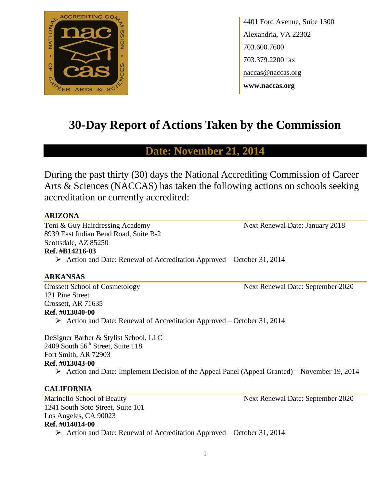

4401 Ford Avenue, Suite 1300 Alexandria, VA 22302 703.600.7600 703.379.2200 fax naccas@naccas.org **www.naccas.org**

# **30-Day Report of Actions Taken by the Commission**

# **Date: November 21, 2014**

During the past thirty (30) days the National Accrediting Commission of Career Arts & Sciences (NACCAS) has taken the following actions on schools seeking accreditation or currently accredited:

#### **ARIZONA**

Toni & Guy Hairdressing Academy Next Renewal Date: January 2018 8939 East Indian Bend Road, Suite B-2 Scottsdale, AZ 85250

# **Ref. #B14216-03**

 $\triangleright$  Action and Date: Renewal of Accreditation Approved – October 31, 2014

#### **ARKANSAS**

Crossett School of Cosmetology Next Renewal Date: September 2020 121 Pine Street Crossett, AR 71635 **Ref. #013040-00**

Action and Date: Renewal of Accreditation Approved – October 31, 2014

DeSigner Barber & Stylist School, LLC 2409 South  $56<sup>th</sup>$  Street, Suite 118 Fort Smith, AR 72903 **Ref. #013043-00**

 $\triangleright$  Action and Date: Implement Decision of the Appeal Panel (Appeal Granted) – November 19, 2014

## **CALIFORNIA**

Marinello School of Beauty Next Renewal Date: September 2020 1241 South Soto Street, Suite 101 Los Angeles, CA 90023 **Ref. #014014-00**

 $\triangleright$  Action and Date: Renewal of Accreditation Approved – October 31, 2014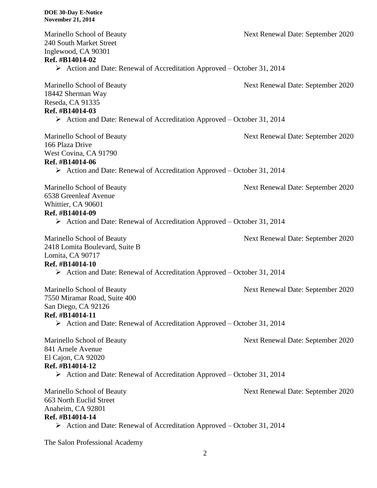| Marinello School of Beauty<br>240 South Market Street<br>Inglewood, CA 90301<br>Ref. #B14014-02           | Next Renewal Date: September 2020 |
|-----------------------------------------------------------------------------------------------------------|-----------------------------------|
| $\triangleright$ Action and Date: Renewal of Accreditation Approved – October 31, 2014                    |                                   |
| Marinello School of Beauty<br>18442 Sherman Way<br>Reseda, CA 91335<br>Ref. #B14014-03                    | Next Renewal Date: September 2020 |
| $\triangleright$ Action and Date: Renewal of Accreditation Approved – October 31, 2014                    |                                   |
| Marinello School of Beauty<br>166 Plaza Drive<br>West Covina, CA 91790<br>Ref. #B14014-06                 | Next Renewal Date: September 2020 |
| $\triangleright$ Action and Date: Renewal of Accreditation Approved – October 31, 2014                    |                                   |
| Marinello School of Beauty<br>6538 Greenleaf Avenue<br>Whittier, CA 90601<br>Ref. #B14014-09              | Next Renewal Date: September 2020 |
| $\triangleright$ Action and Date: Renewal of Accreditation Approved – October 31, 2014                    |                                   |
| Marinello School of Beauty<br>2418 Lomita Boulevard, Suite B<br>Lomita, CA 90717                          | Next Renewal Date: September 2020 |
| Ref. #B14014-10<br>$\triangleright$ Action and Date: Renewal of Accreditation Approved – October 31, 2014 |                                   |
| Marinello School of Beauty<br>7550 Miramar Road, Suite 400<br>San Diego, CA 92126<br>Ref. #B14014-11      | Next Renewal Date: September 2020 |
| $\triangleright$ Action and Date: Renewal of Accreditation Approved – October 31, 2014                    |                                   |
| Marinello School of Beauty<br>841 Arnele Avenue<br>El Cajon, CA 92020<br>Ref. #B14014-12                  | Next Renewal Date: September 2020 |
| $\triangleright$ Action and Date: Renewal of Accreditation Approved – October 31, 2014                    |                                   |
| Marinello School of Beauty<br>663 North Euclid Street<br>Anaheim, CA 92801<br>Ref. #B14014-14             | Next Renewal Date: September 2020 |
| $\triangleright$ Action and Date: Renewal of Accreditation Approved – October 31, 2014                    |                                   |

The Salon Professional Academy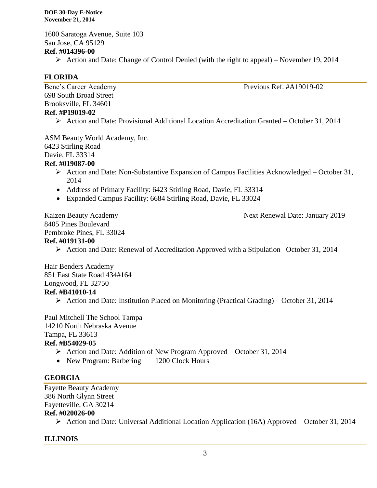**DOE 30-Day E-Notice November 21, 2014**

1600 Saratoga Avenue, Suite 103 San Jose, CA 95129 **Ref. #014396-00**

Action and Date: Change of Control Denied (with the right to appeal) – November 19, 2014

## **FLORIDA**

698 South Broad Street Brooksville, FL 34601 **Ref. #P19019-02**

Bene's Career Academy Previous Ref. #A19019-02

 $\triangleright$  Action and Date: Provisional Additional Location Accreditation Granted – October 31, 2014

ASM Beauty World Academy, Inc. 6423 Stirling Road Davie, FL 33314

#### **Ref. #019087-00**

- Action and Date: Non-Substantive Expansion of Campus Facilities Acknowledged October 31, 2014
- Address of Primary Facility: 6423 Stirling Road, Davie, FL 33314
- Expanded Campus Facility: 6684 Stirling Road, Davie, FL 33024

Kaizen Beauty Academy **Next Renewal Date: January 2019** 8405 Pines Boulevard Pembroke Pines, FL 33024

## **Ref. #019131-00**

 $\triangleright$  Action and Date: Renewal of Accreditation Approved with a Stipulation–October 31, 2014

Hair Benders Academy 851 East State Road 434#164 Longwood, FL 32750 **Ref. #B41010-14**

Action and Date: Institution Placed on Monitoring (Practical Grading) – October 31, 2014

Paul Mitchell The School Tampa 14210 North Nebraska Avenue Tampa, FL 33613 **Ref. #B54029-05**

- Action and Date: Addition of New Program Approved October 31, 2014
- New Program: Barbering 1200 Clock Hours

## **GEORGIA**

Fayette Beauty Academy 386 North Glynn Street Fayetteville, GA 30214

**Ref. #020026-00**

Action and Date: Universal Additional Location Application (16A) Approved – October 31, 2014

## **ILLINOIS**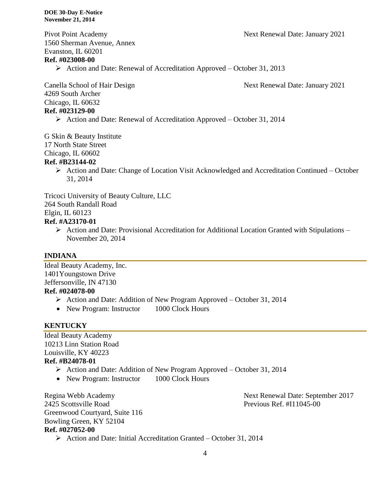Pivot Point Academy Next Renewal Date: January 2021

1560 Sherman Avenue, Annex Evanston, IL 60201

## **Ref. #023008-00**

 $\triangleright$  Action and Date: Renewal of Accreditation Approved – October 31, 2013

Canella School of Hair Design Next Renewal Date: January 2021

4269 South Archer Chicago, IL 60632 **Ref. #023129-00**

Action and Date: Renewal of Accreditation Approved – October 31, 2014

G Skin & Beauty Institute

17 North State Street

Chicago, IL 60602

#### **Ref. #B23144-02**

 Action and Date: Change of Location Visit Acknowledged and Accreditation Continued – October 31, 2014

Tricoci University of Beauty Culture, LLC 264 South Randall Road Elgin, IL 60123

## **Ref. #A23170-01**

 $\triangleright$  Action and Date: Provisional Accreditation for Additional Location Granted with Stipulations – November 20, 2014

# **INDIANA**

Ideal Beauty Academy, Inc. 1401Youngstown Drive Jeffersonville, IN 47130 **Ref. #024078-00**

- $\triangleright$  Action and Date: Addition of New Program Approved October 31, 2014
- New Program: Instructor 1000 Clock Hours

#### **KENTUCKY**

Ideal Beauty Academy 10213 Linn Station Road Louisville, KY 40223 **Ref. #B24078-01**

#### Action and Date: Addition of New Program Approved – October 31, 2014

• New Program: Instructor 1000 Clock Hours

2425 Scottsville Road Previous Ref. #I11045-00 Greenwood Courtyard, Suite 116 Bowling Green, KY 52104 **Ref. #027052-00**  $\triangleright$  Action and Date: Initial Accreditation Granted – October 31, 2014

Regina Webb Academy Next Renewal Date: September 2017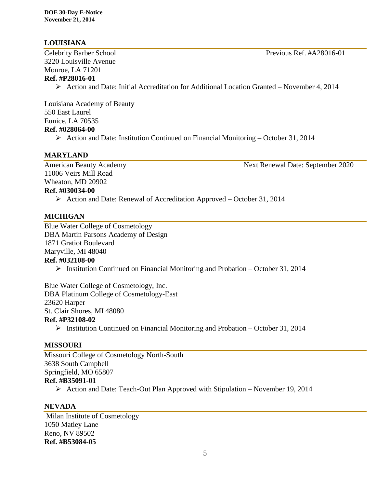# **LOUISIANA**

Celebrity Barber School Previous Ref. #A28016-01 3220 Louisville Avenue Monroe, LA 71201 **Ref. #P28016-01**

 $\triangleright$  Action and Date: Initial Accreditation for Additional Location Granted – November 4, 2014

Louisiana Academy of Beauty 550 East Laurel Eunice, LA 70535 **Ref. #028064-00**

Action and Date: Institution Continued on Financial Monitoring – October 31, 2014

## **MARYLAND**

11006 Veirs Mill Road Wheaton, MD 20902 **Ref. #030034-00**

American Beauty Academy 1986 1997 Next Renewal Date: September 2020

# $\triangleright$  Action and Date: Renewal of Accreditation Approved – October 31, 2014

#### **MICHIGAN**

Blue Water College of Cosmetology DBA Martin Parsons Academy of Design 1871 Gratiot Boulevard Maryville, MI 48040 **Ref. #032108-00**

 $\triangleright$  Institution Continued on Financial Monitoring and Probation – October 31, 2014

Blue Water College of Cosmetology, Inc. DBA Platinum College of Cosmetology-East 23620 Harper St. Clair Shores, MI 48080 **Ref. #P32108-02**

 $\triangleright$  Institution Continued on Financial Monitoring and Probation – October 31, 2014

## **MISSOURI**

Missouri College of Cosmetology North-South 3638 South Campbell Springfield, MO 65807 **Ref. #B35091-01**

 $\triangleright$  Action and Date: Teach-Out Plan Approved with Stipulation – November 19, 2014

# **NEVADA**

Milan Institute of Cosmetology 1050 Matley Lane Reno, NV 89502 **Ref. #B53084-05**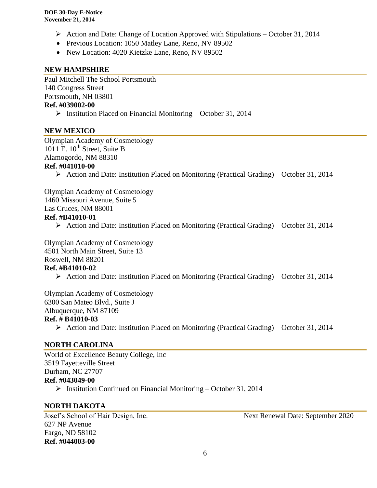- Action and Date: Change of Location Approved with Stipulations October 31, 2014
- Previous Location: 1050 Matley Lane, Reno, NV 89502
- New Location: 4020 Kietzke Lane, Reno, NV 89502

## **NEW HAMPSHIRE**

Paul Mitchell The School Portsmouth 140 Congress Street Portsmouth, NH 03801 **Ref. #039002-00**

 $\triangleright$  Institution Placed on Financial Monitoring – October 31, 2014

#### **NEW MEXICO**

Olympian Academy of Cosmetology 1011 E.  $10^{th}$  Street, Suite B Alamogordo, NM 88310 **Ref. #041010-00**

Action and Date: Institution Placed on Monitoring (Practical Grading) – October 31, 2014

Olympian Academy of Cosmetology 1460 Missouri Avenue, Suite 5 Las Cruces, NM 88001 **Ref. #B41010-01**

Action and Date: Institution Placed on Monitoring (Practical Grading) – October 31, 2014

Olympian Academy of Cosmetology 4501 North Main Street, Suite 13 Roswell, NM 88201 **Ref. #B41010-02**

Action and Date: Institution Placed on Monitoring (Practical Grading) – October 31, 2014

Olympian Academy of Cosmetology 6300 San Mateo Blvd., Suite J Albuquerque, NM 87109 **Ref. # B41010-03**

 $\triangleright$  Action and Date: Institution Placed on Monitoring (Practical Grading) – October 31, 2014

## **NORTH CAROLINA**

World of Excellence Beauty College, Inc 3519 Fayetteville Street Durham, NC 27707 **Ref. #043049-00**

 $\triangleright$  Institution Continued on Financial Monitoring – October 31, 2014

## **NORTH DAKOTA**

627 NP Avenue Fargo, ND 58102 **Ref. #044003-00**

Josef's School of Hair Design, Inc. Next Renewal Date: September 2020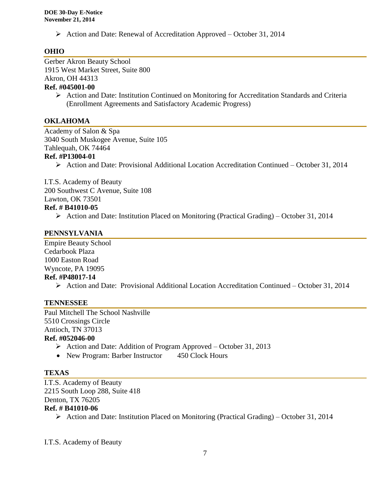$\triangleright$  Action and Date: Renewal of Accreditation Approved – October 31, 2014

# **OHIO**

Gerber Akron Beauty School 1915 West Market Street, Suite 800 Akron, OH 44313 **Ref. #045001-00**

> Action and Date: Institution Continued on Monitoring for Accreditation Standards and Criteria (Enrollment Agreements and Satisfactory Academic Progress)

# **OKLAHOMA**

Academy of Salon & Spa 3040 South Muskogee Avenue, Suite 105 Tahlequah, OK 74464 **Ref. #P13004-01**

 $\triangleright$  Action and Date: Provisional Additional Location Accreditation Continued – October 31, 2014

I.T.S. Academy of Beauty 200 Southwest C Avenue, Suite 108 Lawton, OK 73501

## **Ref. # B41010-05**

 $\triangleright$  Action and Date: Institution Placed on Monitoring (Practical Grading) – October 31, 2014

# **PENNSYLVANIA**

Empire Beauty School Cedarbook Plaza 1000 Easton Road Wyncote, PA 19095 **Ref. #P48017-14**

Action and Date: Provisional Additional Location Accreditation Continued – October 31, 2014

## **TENNESSEE**

Paul Mitchell The School Nashville 5510 Crossings Circle Antioch, TN 37013 **Ref. #052046-00**

- $\triangleright$  Action and Date: Addition of Program Approved October 31, 2013
- New Program: Barber Instructor 450 Clock Hours

# **TEXAS**

I.T.S. Academy of Beauty 2215 South Loop 288, Suite 418 Denton, TX 76205 **Ref. # B41010-06**

 $\triangleright$  Action and Date: Institution Placed on Monitoring (Practical Grading) – October 31, 2014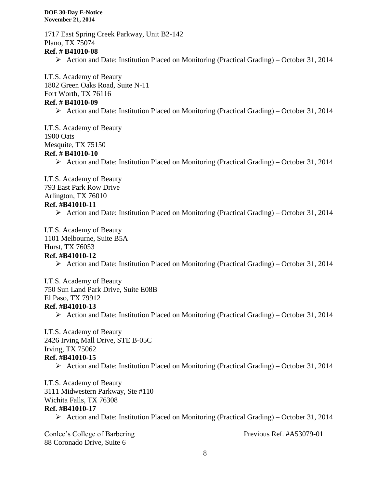**DOE 30-Day E-Notice November 21, 2014**

1717 East Spring Creek Parkway, Unit B2-142 Plano, TX 75074 **Ref. # B41010-08** Action and Date: Institution Placed on Monitoring (Practical Grading) – October 31, 2014 I.T.S. Academy of Beauty 1802 Green Oaks Road, Suite N-11 Fort Worth, TX 76116 **Ref. # B41010-09** Action and Date: Institution Placed on Monitoring (Practical Grading) – October 31, 2014

I.T.S. Academy of Beauty 1900 Oats Mesquite, TX 75150 **Ref. # B41010-10**

 $\triangleright$  Action and Date: Institution Placed on Monitoring (Practical Grading) – October 31, 2014

I.T.S. Academy of Beauty 793 East Park Row Drive Arlington, TX 76010 **Ref. #B41010-11**

Action and Date: Institution Placed on Monitoring (Practical Grading) – October 31, 2014

I.T.S. Academy of Beauty 1101 Melbourne, Suite B5A

Hurst, TX 76053

# **Ref. #B41010-12**

 $\triangleright$  Action and Date: Institution Placed on Monitoring (Practical Grading) – October 31, 2014

I.T.S. Academy of Beauty 750 Sun Land Park Drive, Suite E08B El Paso, TX 79912

#### **Ref. #B41010-13**

 $\triangleright$  Action and Date: Institution Placed on Monitoring (Practical Grading) – October 31, 2014

I.T.S. Academy of Beauty 2426 Irving Mall Drive, STE B-05C

Irving, TX 75062

#### **Ref. #B41010-15**

 $\triangleright$  Action and Date: Institution Placed on Monitoring (Practical Grading) – October 31, 2014

I.T.S. Academy of Beauty 3111 Midwestern Parkway, Ste #110 Wichita Falls, TX 76308 **Ref. #B41010-17**

 $\triangleright$  Action and Date: Institution Placed on Monitoring (Practical Grading) – October 31, 2014

Conlee's College of Barbering Previous Ref. #A53079-01 88 Coronado Drive, Suite 6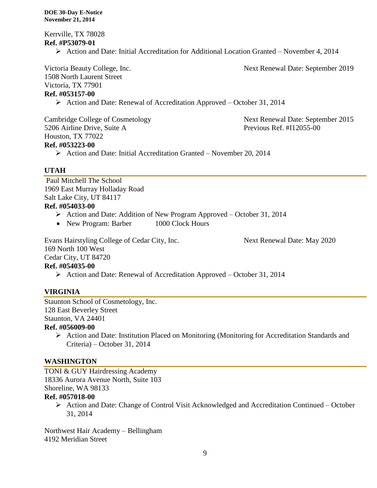Kerrville, TX 78028 **Ref. #P53079-01**

Action and Date: Initial Accreditation for Additional Location Granted – November 4, 2014

Victoria Beauty College, Inc. Next Renewal Date: September 2019 1508 North Laurent Street Victoria, TX 77901 **Ref. #053157-00**

 $\triangleright$  Action and Date: Renewal of Accreditation Approved – October 31, 2014

5206 Airline Drive, Suite A Previous Ref. #I12055-00 Houston, TX 77022 **Ref. #053223-00**

Cambridge College of Cosmetology Next Renewal Date: September 2015

 $\triangleright$  Action and Date: Initial Accreditation Granted – November 20, 2014

## **UTAH**

Paul Mitchell The School 1969 East Murray Holladay Road Salt Lake City, UT 84117 **Ref. #054033-00**

- Action and Date: Addition of New Program Approved October 31, 2014
- New Program: Barber 1000 Clock Hours

Evans Hairstyling College of Cedar City, Inc. Next Renewal Date: May 2020 169 North 100 West Cedar City, UT 84720 **Ref. #054035-00** Action and Date: Renewal of Accreditation Approved – October 31, 2014

# **VIRGINIA**

Staunton School of Cosmetology, Inc. 128 East Beverley Street Staunton, VA 24401 **Ref. #056009-00**

 Action and Date: Institution Placed on Monitoring (Monitoring for Accreditation Standards and Criteria) – October 31, 2014

## **WASHINGTON**

TONI & GUY Hairdressing Academy 18336 Aurora Avenue North, Suite 103 Shoreline, WA 98133

#### **Ref. #057018-00**

 Action and Date: Change of Control Visit Acknowledged and Accreditation Continued – October 31, 2014

Northwest Hair Academy – Bellingham 4192 Meridian Street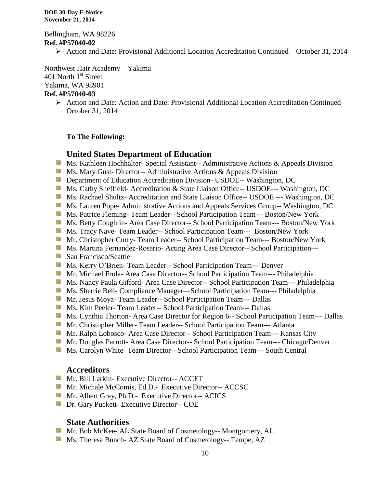Bellingham, WA 98226 **Ref. #P57040-02**

Action and Date: Provisional Additional Location Accreditation Continued – October 31, 2014

Northwest Hair Academy – Yakima 401 North 1<sup>st</sup> Street Yakima, WA 98901

# **Ref. #P57040-03**

 $\triangleright$  Action and Date: Action and Date: Provisional Additional Location Accreditation Continued – October 31, 2014

#### **To The Following:**

## **United States Department of Education**

- **Ms. Kathleen Hochhalter- Special Assistant-- Administrative Actions & Appeals Division**
- **Ms. Mary Gust- Director-- Administrative Actions & Appeals Division**
- **Department of Education Accreditation Division- USDOE-- Washington, DC**
- Ms. Cathy Sheffield- Accreditation & State Liaison Office-- USDOE--- Washington, DC
- Ms. Rachael Shultz- Accreditation and State Liaison Office-- USDOE --- Washington, DC
- **Ms. Lauren Pope- Administrative Actions and Appeals Services Group-- Washington, DC**
- **Ms. Patrice Fleming- Team Leader-- School Participation Team--- Boston/New York**
- Ms. Betty Coughlin- Area Case Director-- School Participation Team--- Boston/New York
- Ms. Tracy Nave- Team Leader-- School Participation Team--- Boston/New York
- Mr. Christopher Curry- Team Leader-- School Participation Team--- Boston/New York
- **Ms. Martina Fernandez-Rosario- Acting Area Case Director-- School Participation---**
- San Francisco/Seattle
- Ms. Kerry O'Brien- Team Leader-- School Participation Team--- Denver
- **Mr. Michael Frola- Area Case Director-- School Participation Team--- Philadelphia**
- Ms. Nancy Paula Gifford- Area Case Director-- School Participation Team--- Philadelphia
- **Ms. Sherrie Bell- Compliance Manager—School Participation Team--- Philadelphia**
- Mr. Jesus Moya- Team Leader-- School Participation Team--- Dallas
- **MS. Kim Peeler-Team Leader-- School Participation Team--- Dallas**
- **Ms. Cynthia Thorton- Area Case Director for Region 6-- School Participation Team--- Dallas**
- Mr. Christopher Miller-Team Leader-- School Participation Team--- Atlanta
- Mr. Ralph Lobosco- Area Case Director-- School Participation Team--- Kansas City
- Mr. Douglas Parrott- Area Case Director-- School Participation Team--- Chicago/Denver
- **MS. Carolyn White-Team Director-- School Participation Team--- South Central**

#### **Accreditors**

- **Mr. Bill Larkin- Executive Director-- ACCET**
- **Mr. Michale McComis, Ed.D.- Executive Director-- ACCSC**
- **Mr.** Albert Gray, Ph.D.- Executive Director-- ACICS
- **Dr.** Gary Puckett- Executive Director-- COE

## **State Authorities**

- **Mr.** Bob McKee- AL State Board of Cosmetology-- Montgomery, AL
- Ms. Theresa Bunch- AZ State Board of Cosmetology-- Tempe, AZ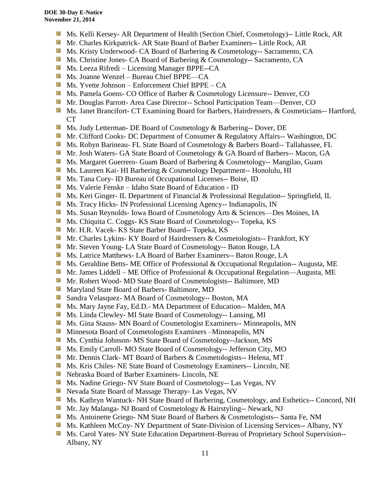- Ms. Kelli Kersey- AR Department of Health (Section Chief, Cosmetology)-- Little Rock, AR
- Mr. Charles Kirkpatrick- AR State Board of Barber Examiners-- Little Rock, AR
- Ms. Kristy Underwood- CA Board of Barbering & Cosmetology-- Sacramento, CA
- **Ms.** Christine Jones- CA Board of Barbering & Cosmetology-- Sacramento, CA
- Ms. Leeza Rifredi Licensing Manager BPPE--CA
- Ms. Joanne Wenzel Bureau Chief BPPE—CA
- $M_s$ . Yvette Johnson Enforcement Chief BPPE CA
- **Ms. Pamela Goens- CO Office of Barber & Cosmetology Licensure-- Denver, CO**
- Side. Mr. Douglas Parrott- Area Case Director-- School Participation Team—Denver, CO
- **Ms. Janet Brancifort- CT Examining Board for Barbers, Hairdressers, & Cosmeticians-- Hartford,** CT
- 锦 Ms. Judy Letterman- DE Board of Cosmetology & Barbering-- Dover, DE
- Mr. Clifford Cooks- DC Department of Consumer & Regulatory Affairs-- Washington, DC
- Ms. Robyn Barineau- FL State Board of Cosmetology & Barbers Board-- Tallahassee, FL
- Mr. Josh Waters- GA State Board of Cosmetology & GA Board of Barbers-- Macon, GA
- **Ms. Margaret Guerrero- Guam Board of Barbering & Cosmetology-- Mangilao, Guam**
- **Ms. Laureen Kai- HI Barbering & Cosmetology Department-- Honolulu, HI**
- **Ms. Tana Cory- ID Bureau of Occupational Licenses-- Boise, ID**
- Ms. Valerie Fenske Idaho State Board of Education ID
- **Ms. Keri Ginger- IL Department of Financial & Professional Regulation-- Springfield, IL**
- **MS.** Tracy Hicks- IN Professional Licensing Agency-- Indianapolis, IN
- Sila Ms. Susan Reynolds- Iowa Board of Cosmetology Arts & Sciences—Des Moines, IA
- Ms. Chiquita C. Coggs- KS State Board of Cosmetology-- Topeka, KS
- Mr. H.R. Vacek- KS State Barber Board-- Topeka, KS
- 59 Mr. Charles Lykins- KY Board of Hairdressers & Cosmetologists-- Frankfort, KY
- Mr. Steven Young- LA State Board of Cosmetology-- Baton Rouge, LA
- **Ms. Latrice Matthews- LA Board of Barber Examiners-- Baton Rouge, LA**
- Ms. Geraldine Betts- ME Office of Professional & Occupational Regulation-- Augusta, ME
- Mr. James Liddell ME Office of Professional & Occupational Regulation—Augusta, ME
- Mr. Robert Wood- MD State Board of Cosmetologists-- Baltimore, MD
- **Maryland State Board of Barbers- Baltimore, MD**
- Sila Sandra Velasquez- MA Board of Cosmetology-- Boston, MA
- Ms. Mary Jayne Fay, Ed.D.- MA Department of Education-- Malden, MA
- Ms. Linda Clewley- MI State Board of Cosmetology-- Lansing, MI
- **MS.** Gina Stauss- MN Board of Cosmetologist Examiners-- Minneapolis, MN
- **M** Minnesota Board of Cosmetologists Examiners –Minneapolis, MN
- **Ms.** Cynthia Johnson- MS State Board of Cosmetology--Jackson, MS
- Ms. Emily Carroll- MO State Board of Cosmetology-- Jefferson City, MO
- Mr. Dennis Clark- MT Board of Barbers & Cosmetologists-- Helena, MT
- Ms. Kris Chiles- NE State Board of Cosmetology Examiners-- Lincoln, NE
- Nebraska Board of Barber Examiners- Lincoln, NE
- Ms. Nadine Griego- NV State Board of Cosmetology-- Las Vegas, NV
- **Nevada State Board of Massage Therapy- Las Vegas, NV**
- Ms. Kathryn Wantuck- NH State Board of Barbering, Cosmetology, and Esthetics-- Concord, NH
- Mr. Jay Malanga- NJ Board of Cosmetology & Hairstyling-- Newark, NJ
- Ms. Antoinette Griego- NM State Board of Barbers & Cosmetologists-- Santa Fe, NM
- **Ms. Kathleen McCoy- NY Department of State-Division of Licensing Services-- Albany, NY**
- **Ms. Carol Yates- NY State Education Department-Bureau of Proprietary School Supervision--**Albany, NY